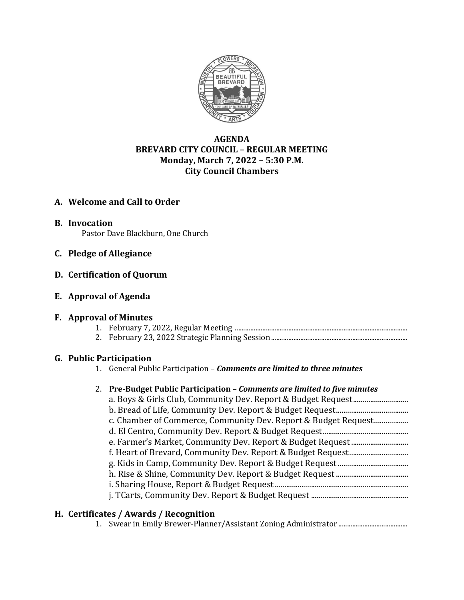

# **AGENDA BREVARD CITY COUNCIL – REGULAR MEETING Monday, March 7, 2022 – 5:30 P.M. City Council Chambers**

# **A. Welcome and Call to Order**

**B. Invocation** Pastor Dave Blackburn, One Church

## **C. Pledge of Allegiance**

## **D. Certification of Quorum**

## **E. Approval of Agenda**

## **F. Approval of Minutes**

- 1. February 7, 2022, Regular Meeting ....................................................................................................
- 2. February 23, 2022 Strategic Planning Session...............................................................................

## **G. Public Participation**

1. General Public Participation – *Comments are limited to three minutes*

| 2. Pre-Budget Public Participation – Comments are limited to five minutes |
|---------------------------------------------------------------------------|
|                                                                           |
|                                                                           |
| c. Chamber of Commerce, Community Dev. Report & Budget Request            |
|                                                                           |
|                                                                           |
|                                                                           |
|                                                                           |
|                                                                           |
|                                                                           |
|                                                                           |
|                                                                           |

## **H. Certificates / Awards / Recognition**

1. Swear in Emily Brewer-Planner/Assistant Zoning Administrator ........................................